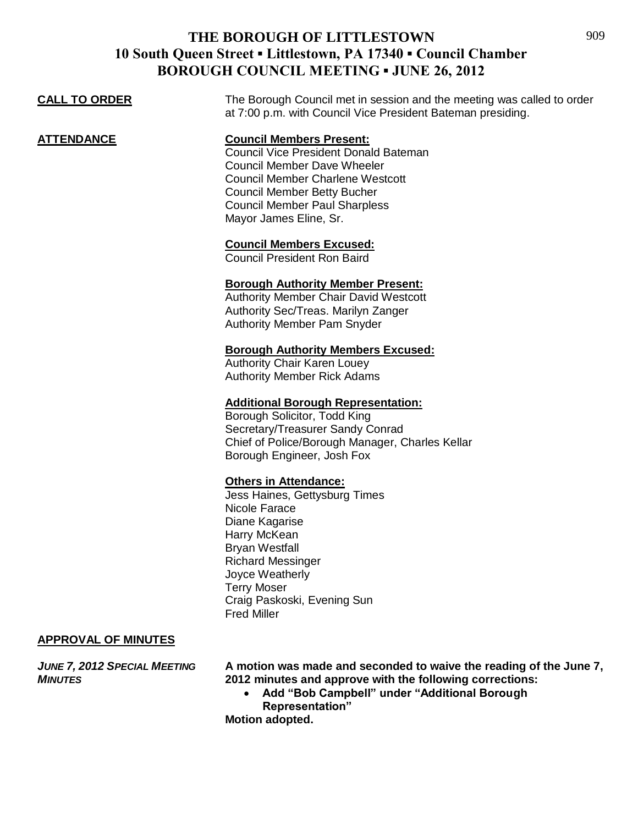| <b>CALL TO ORDER</b>                | The Borough Council met in session and the meeting was called to order<br>at 7:00 p.m. with Council Vice President Bateman presiding.                                                                                                                                    |
|-------------------------------------|--------------------------------------------------------------------------------------------------------------------------------------------------------------------------------------------------------------------------------------------------------------------------|
| <u>ATTENDANCE</u>                   | <b>Council Members Present:</b><br><b>Council Vice President Donald Bateman</b><br><b>Council Member Dave Wheeler</b><br><b>Council Member Charlene Westcott</b><br><b>Council Member Betty Bucher</b><br><b>Council Member Paul Sharpless</b><br>Mayor James Eline, Sr. |
|                                     | <b>Council Members Excused:</b><br><b>Council President Ron Baird</b>                                                                                                                                                                                                    |
|                                     | <b>Borough Authority Member Present:</b><br><b>Authority Member Chair David Westcott</b><br>Authority Sec/Treas. Marilyn Zanger<br><b>Authority Member Pam Snyder</b>                                                                                                    |
|                                     | <b>Borough Authority Members Excused:</b><br><b>Authority Chair Karen Louey</b><br><b>Authority Member Rick Adams</b>                                                                                                                                                    |
|                                     | <b>Additional Borough Representation:</b><br>Borough Solicitor, Todd King<br>Secretary/Treasurer Sandy Conrad<br>Chief of Police/Borough Manager, Charles Kellar<br>Borough Engineer, Josh Fox                                                                           |
|                                     | <b>Others in Attendance:</b><br>Jess Haines, Gettysburg Times<br>Nicole Farace<br>Diane Kagarise<br>Harry McKean<br><b>Bryan Westfall</b><br><b>Richard Messinger</b><br>Joyce Weatherly<br><b>Terry Moser</b><br>Craig Paskoski, Evening Sun<br><b>Fred Miller</b>      |
| <b>APPROVAL OF MINUTES</b>          |                                                                                                                                                                                                                                                                          |
| <b>JUNE 7, 2012 SPECIAL MEETING</b> | A motion was made and seconded to waive the reading of the June 7,                                                                                                                                                                                                       |

*MINUTES* **2012 minutes and approve with the following corrections:**

 **Add "Bob Campbell" under "Additional Borough Representation"**

**Motion adopted.**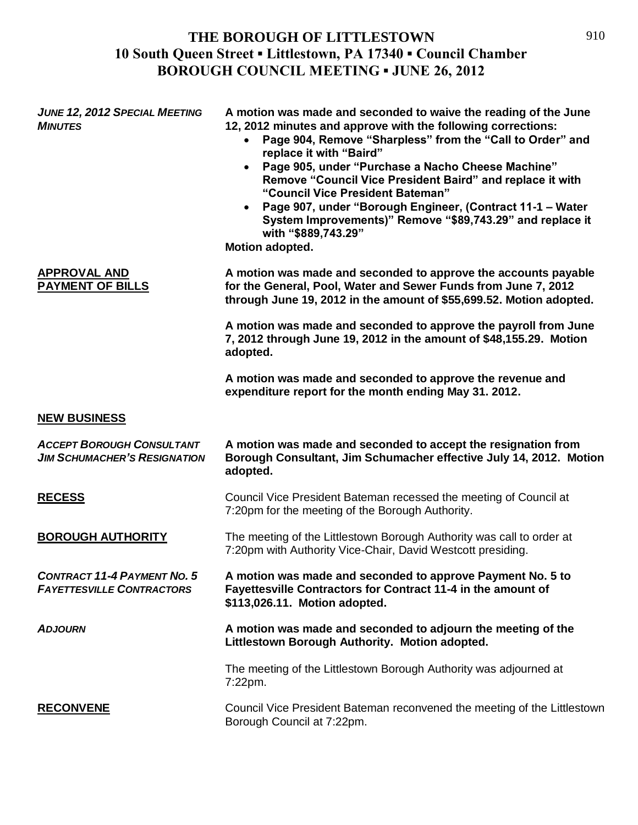| <b>JUNE 12, 2012 SPECIAL MEETING</b><br><b>MINUTES</b>                  | A motion was made and seconded to waive the reading of the June<br>12, 2012 minutes and approve with the following corrections:<br>Page 904, Remove "Sharpless" from the "Call to Order" and<br>$\bullet$<br>replace it with "Baird"<br>Page 905, under "Purchase a Nacho Cheese Machine"<br>$\bullet$<br>Remove "Council Vice President Baird" and replace it with<br>"Council Vice President Bateman"<br>Page 907, under "Borough Engineer, (Contract 11-1 - Water<br>$\bullet$<br>System Improvements)" Remove "\$89,743.29" and replace it<br>with "\$889,743.29"<br>Motion adopted. |
|-------------------------------------------------------------------------|------------------------------------------------------------------------------------------------------------------------------------------------------------------------------------------------------------------------------------------------------------------------------------------------------------------------------------------------------------------------------------------------------------------------------------------------------------------------------------------------------------------------------------------------------------------------------------------|
| <b>APPROVAL AND</b><br>PAYMENT OF BILLS                                 | A motion was made and seconded to approve the accounts payable<br>for the General, Pool, Water and Sewer Funds from June 7, 2012<br>through June 19, 2012 in the amount of \$55,699.52. Motion adopted.                                                                                                                                                                                                                                                                                                                                                                                  |
|                                                                         | A motion was made and seconded to approve the payroll from June<br>7, 2012 through June 19, 2012 in the amount of \$48,155.29. Motion<br>adopted.                                                                                                                                                                                                                                                                                                                                                                                                                                        |
|                                                                         | A motion was made and seconded to approve the revenue and<br>expenditure report for the month ending May 31. 2012.                                                                                                                                                                                                                                                                                                                                                                                                                                                                       |
| <b>NEW BUSINESS</b>                                                     |                                                                                                                                                                                                                                                                                                                                                                                                                                                                                                                                                                                          |
| <b>ACCEPT BOROUGH CONSULTANT</b><br><b>JIM SCHUMACHER'S RESIGNATION</b> | A motion was made and seconded to accept the resignation from<br>Borough Consultant, Jim Schumacher effective July 14, 2012. Motion<br>adopted.                                                                                                                                                                                                                                                                                                                                                                                                                                          |
| <b>RECESS</b>                                                           | Council Vice President Bateman recessed the meeting of Council at<br>7:20pm for the meeting of the Borough Authority.                                                                                                                                                                                                                                                                                                                                                                                                                                                                    |
| <b>BOROUGH AUTHORITY</b>                                                | The meeting of the Littlestown Borough Authority was call to order at<br>7:20pm with Authority Vice-Chair, David Westcott presiding.                                                                                                                                                                                                                                                                                                                                                                                                                                                     |
| <b>CONTRACT 11-4 PAYMENT NO. 5</b><br><b>FAYETTESVILLE CONTRACTORS</b>  | A motion was made and seconded to approve Payment No. 5 to<br>Fayettesville Contractors for Contract 11-4 in the amount of<br>\$113,026.11. Motion adopted.                                                                                                                                                                                                                                                                                                                                                                                                                              |
| <b>ADJOURN</b>                                                          | A motion was made and seconded to adjourn the meeting of the<br>Littlestown Borough Authority. Motion adopted.                                                                                                                                                                                                                                                                                                                                                                                                                                                                           |
|                                                                         | The meeting of the Littlestown Borough Authority was adjourned at<br>7:22pm.                                                                                                                                                                                                                                                                                                                                                                                                                                                                                                             |
| <b>RECONVENE</b>                                                        | Council Vice President Bateman reconvened the meeting of the Littlestown<br>Borough Council at 7:22pm.                                                                                                                                                                                                                                                                                                                                                                                                                                                                                   |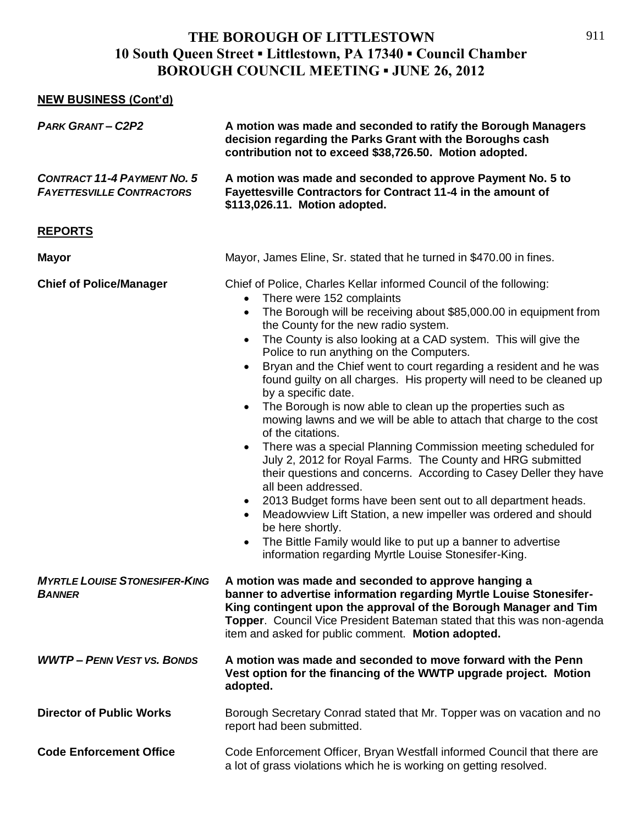#### **NEW BUSINESS (Cont'd)**

| <b>PARK GRANT-C2P2</b>                                                 | A motion was made and seconded to ratify the Borough Managers<br>decision regarding the Parks Grant with the Boroughs cash<br>contribution not to exceed \$38,726.50. Motion adopted.                                                                                                                                                                                                                                                                                                                                                                                                                                                                                                                                                                                                                                                                                                                                                                                                                                                                                                                                                                                                                                                                                     |
|------------------------------------------------------------------------|---------------------------------------------------------------------------------------------------------------------------------------------------------------------------------------------------------------------------------------------------------------------------------------------------------------------------------------------------------------------------------------------------------------------------------------------------------------------------------------------------------------------------------------------------------------------------------------------------------------------------------------------------------------------------------------------------------------------------------------------------------------------------------------------------------------------------------------------------------------------------------------------------------------------------------------------------------------------------------------------------------------------------------------------------------------------------------------------------------------------------------------------------------------------------------------------------------------------------------------------------------------------------|
| <b>CONTRACT 11-4 PAYMENT NO. 5</b><br><b>FAYETTESVILLE CONTRACTORS</b> | A motion was made and seconded to approve Payment No. 5 to<br>Fayettesville Contractors for Contract 11-4 in the amount of<br>\$113,026.11. Motion adopted.                                                                                                                                                                                                                                                                                                                                                                                                                                                                                                                                                                                                                                                                                                                                                                                                                                                                                                                                                                                                                                                                                                               |
| <b>REPORTS</b>                                                         |                                                                                                                                                                                                                                                                                                                                                                                                                                                                                                                                                                                                                                                                                                                                                                                                                                                                                                                                                                                                                                                                                                                                                                                                                                                                           |
| <b>Mayor</b>                                                           | Mayor, James Eline, Sr. stated that he turned in \$470.00 in fines.                                                                                                                                                                                                                                                                                                                                                                                                                                                                                                                                                                                                                                                                                                                                                                                                                                                                                                                                                                                                                                                                                                                                                                                                       |
| <b>Chief of Police/Manager</b>                                         | Chief of Police, Charles Kellar informed Council of the following:<br>There were 152 complaints<br>$\bullet$<br>The Borough will be receiving about \$85,000.00 in equipment from<br>$\bullet$<br>the County for the new radio system.<br>The County is also looking at a CAD system. This will give the<br>$\bullet$<br>Police to run anything on the Computers.<br>Bryan and the Chief went to court regarding a resident and he was<br>$\bullet$<br>found guilty on all charges. His property will need to be cleaned up<br>by a specific date.<br>The Borough is now able to clean up the properties such as<br>$\bullet$<br>mowing lawns and we will be able to attach that charge to the cost<br>of the citations.<br>There was a special Planning Commission meeting scheduled for<br>$\bullet$<br>July 2, 2012 for Royal Farms. The County and HRG submitted<br>their questions and concerns. According to Casey Deller they have<br>all been addressed.<br>2013 Budget forms have been sent out to all department heads.<br>$\bullet$<br>Meadowview Lift Station, a new impeller was ordered and should<br>$\bullet$<br>be here shortly.<br>The Bittle Family would like to put up a banner to advertise<br>information regarding Myrtle Louise Stonesifer-King. |
| <b>MYRTLE LOUISE STONESIFER-KING</b><br><b>BANNER</b>                  | A motion was made and seconded to approve hanging a<br>banner to advertise information regarding Myrtle Louise Stonesifer-<br>King contingent upon the approval of the Borough Manager and Tim<br>Topper. Council Vice President Bateman stated that this was non-agenda<br>item and asked for public comment. Motion adopted.                                                                                                                                                                                                                                                                                                                                                                                                                                                                                                                                                                                                                                                                                                                                                                                                                                                                                                                                            |
| <b>WWTP- PENN VEST VS. BONDS</b>                                       | A motion was made and seconded to move forward with the Penn<br>Vest option for the financing of the WWTP upgrade project. Motion<br>adopted.                                                                                                                                                                                                                                                                                                                                                                                                                                                                                                                                                                                                                                                                                                                                                                                                                                                                                                                                                                                                                                                                                                                             |
| <b>Director of Public Works</b>                                        | Borough Secretary Conrad stated that Mr. Topper was on vacation and no<br>report had been submitted.                                                                                                                                                                                                                                                                                                                                                                                                                                                                                                                                                                                                                                                                                                                                                                                                                                                                                                                                                                                                                                                                                                                                                                      |
| <b>Code Enforcement Office</b>                                         | Code Enforcement Officer, Bryan Westfall informed Council that there are<br>a lot of grass violations which he is working on getting resolved.                                                                                                                                                                                                                                                                                                                                                                                                                                                                                                                                                                                                                                                                                                                                                                                                                                                                                                                                                                                                                                                                                                                            |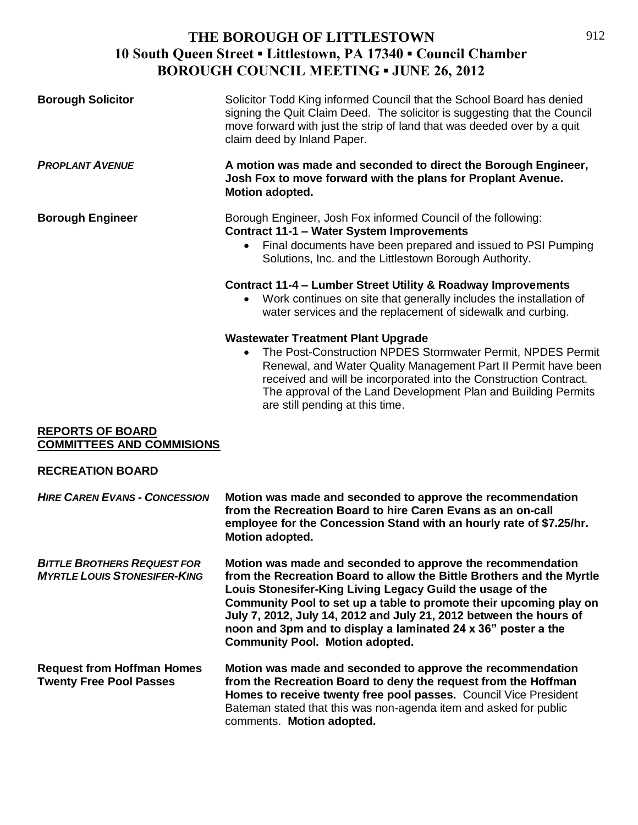| <b>Borough Solicitor</b>                                                  | Solicitor Todd King informed Council that the School Board has denied<br>signing the Quit Claim Deed. The solicitor is suggesting that the Council<br>move forward with just the strip of land that was deeded over by a quit<br>claim deed by Inland Paper.                                                                                                                                                                                             |
|---------------------------------------------------------------------------|----------------------------------------------------------------------------------------------------------------------------------------------------------------------------------------------------------------------------------------------------------------------------------------------------------------------------------------------------------------------------------------------------------------------------------------------------------|
| <b>PROPLANT AVENUE</b>                                                    | A motion was made and seconded to direct the Borough Engineer,<br>Josh Fox to move forward with the plans for Proplant Avenue.<br>Motion adopted.                                                                                                                                                                                                                                                                                                        |
| <b>Borough Engineer</b>                                                   | Borough Engineer, Josh Fox informed Council of the following:<br><b>Contract 11-1 - Water System Improvements</b><br>Final documents have been prepared and issued to PSI Pumping<br>Solutions, Inc. and the Littlestown Borough Authority.                                                                                                                                                                                                              |
|                                                                           | Contract 11-4 – Lumber Street Utility & Roadway Improvements<br>Work continues on site that generally includes the installation of<br>water services and the replacement of sidewalk and curbing.                                                                                                                                                                                                                                                        |
|                                                                           | <b>Wastewater Treatment Plant Upgrade</b><br>The Post-Construction NPDES Stormwater Permit, NPDES Permit<br>$\bullet$<br>Renewal, and Water Quality Management Part II Permit have been<br>received and will be incorporated into the Construction Contract.<br>The approval of the Land Development Plan and Building Permits<br>are still pending at this time.                                                                                        |
| <b>REPORTS OF BOARD</b><br><b>COMMITTEES AND COMMISIONS</b>               |                                                                                                                                                                                                                                                                                                                                                                                                                                                          |
| <b>RECREATION BOARD</b>                                                   |                                                                                                                                                                                                                                                                                                                                                                                                                                                          |
| <b>HIRE CAREN EVANS - CONCESSION</b>                                      | Motion was made and seconded to approve the recommendation<br>from the Recreation Board to hire Caren Evans as an on-call<br>employee for the Concession Stand with an hourly rate of \$7.25/hr.<br>Motion adopted.                                                                                                                                                                                                                                      |
| <b>BITTLE BROTHERS REQUEST FOR</b><br><b>MYRTLE LOUIS STONESIFER-KING</b> | Motion was made and seconded to approve the recommendation<br>from the Recreation Board to allow the Bittle Brothers and the Myrtle<br>Louis Stonesifer-King Living Legacy Guild the usage of the<br>Community Pool to set up a table to promote their upcoming play on<br>July 7, 2012, July 14, 2012 and July 21, 2012 between the hours of<br>noon and 3pm and to display a laminated 24 x 36" poster a the<br><b>Community Pool. Motion adopted.</b> |

**Request from Hoffman Homes Motion was made and seconded to approve the recommendation Twenty Free Pool Passes from the Recreation Board to deny the request from the Hoffman Homes to receive twenty free pool passes.** Council Vice President Bateman stated that this was non-agenda item and asked for public comments. **Motion adopted.**